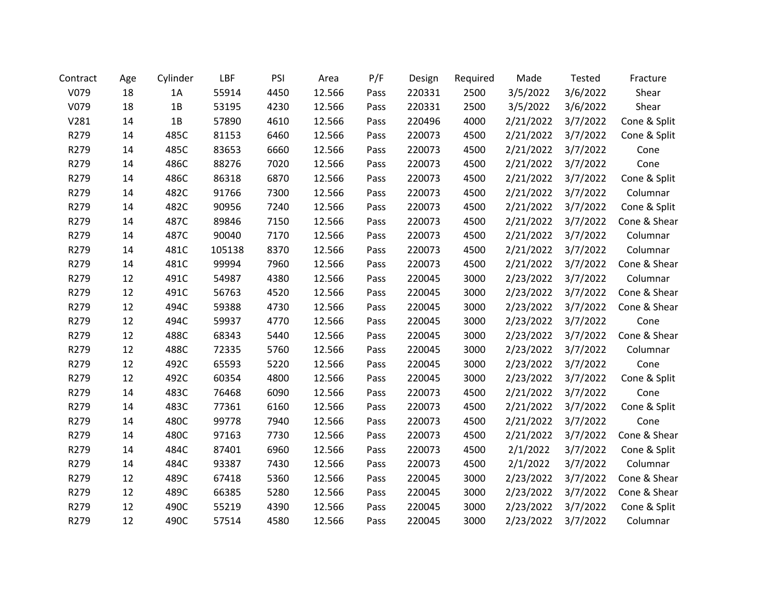| Contract | Age | Cylinder | LBF    | PSI  | Area   | P/F  | Design | Required | Made      | <b>Tested</b> | Fracture     |
|----------|-----|----------|--------|------|--------|------|--------|----------|-----------|---------------|--------------|
| V079     | 18  | 1A       | 55914  | 4450 | 12.566 | Pass | 220331 | 2500     | 3/5/2022  | 3/6/2022      | Shear        |
| V079     | 18  | 1B       | 53195  | 4230 | 12.566 | Pass | 220331 | 2500     | 3/5/2022  | 3/6/2022      | Shear        |
| V281     | 14  | 1B       | 57890  | 4610 | 12.566 | Pass | 220496 | 4000     | 2/21/2022 | 3/7/2022      | Cone & Split |
| R279     | 14  | 485C     | 81153  | 6460 | 12.566 | Pass | 220073 | 4500     | 2/21/2022 | 3/7/2022      | Cone & Split |
| R279     | 14  | 485C     | 83653  | 6660 | 12.566 | Pass | 220073 | 4500     | 2/21/2022 | 3/7/2022      | Cone         |
| R279     | 14  | 486C     | 88276  | 7020 | 12.566 | Pass | 220073 | 4500     | 2/21/2022 | 3/7/2022      | Cone         |
| R279     | 14  | 486C     | 86318  | 6870 | 12.566 | Pass | 220073 | 4500     | 2/21/2022 | 3/7/2022      | Cone & Split |
| R279     | 14  | 482C     | 91766  | 7300 | 12.566 | Pass | 220073 | 4500     | 2/21/2022 | 3/7/2022      | Columnar     |
| R279     | 14  | 482C     | 90956  | 7240 | 12.566 | Pass | 220073 | 4500     | 2/21/2022 | 3/7/2022      | Cone & Split |
| R279     | 14  | 487C     | 89846  | 7150 | 12.566 | Pass | 220073 | 4500     | 2/21/2022 | 3/7/2022      | Cone & Shear |
| R279     | 14  | 487C     | 90040  | 7170 | 12.566 | Pass | 220073 | 4500     | 2/21/2022 | 3/7/2022      | Columnar     |
| R279     | 14  | 481C     | 105138 | 8370 | 12.566 | Pass | 220073 | 4500     | 2/21/2022 | 3/7/2022      | Columnar     |
| R279     | 14  | 481C     | 99994  | 7960 | 12.566 | Pass | 220073 | 4500     | 2/21/2022 | 3/7/2022      | Cone & Shear |
| R279     | 12  | 491C     | 54987  | 4380 | 12.566 | Pass | 220045 | 3000     | 2/23/2022 | 3/7/2022      | Columnar     |
| R279     | 12  | 491C     | 56763  | 4520 | 12.566 | Pass | 220045 | 3000     | 2/23/2022 | 3/7/2022      | Cone & Shear |
| R279     | 12  | 494C     | 59388  | 4730 | 12.566 | Pass | 220045 | 3000     | 2/23/2022 | 3/7/2022      | Cone & Shear |
| R279     | 12  | 494C     | 59937  | 4770 | 12.566 | Pass | 220045 | 3000     | 2/23/2022 | 3/7/2022      | Cone         |
| R279     | 12  | 488C     | 68343  | 5440 | 12.566 | Pass | 220045 | 3000     | 2/23/2022 | 3/7/2022      | Cone & Shear |
| R279     | 12  | 488C     | 72335  | 5760 | 12.566 | Pass | 220045 | 3000     | 2/23/2022 | 3/7/2022      | Columnar     |
| R279     | 12  | 492C     | 65593  | 5220 | 12.566 | Pass | 220045 | 3000     | 2/23/2022 | 3/7/2022      | Cone         |
| R279     | 12  | 492C     | 60354  | 4800 | 12.566 | Pass | 220045 | 3000     | 2/23/2022 | 3/7/2022      | Cone & Split |
| R279     | 14  | 483C     | 76468  | 6090 | 12.566 | Pass | 220073 | 4500     | 2/21/2022 | 3/7/2022      | Cone         |
| R279     | 14  | 483C     | 77361  | 6160 | 12.566 | Pass | 220073 | 4500     | 2/21/2022 | 3/7/2022      | Cone & Split |
| R279     | 14  | 480C     | 99778  | 7940 | 12.566 | Pass | 220073 | 4500     | 2/21/2022 | 3/7/2022      | Cone         |
| R279     | 14  | 480C     | 97163  | 7730 | 12.566 | Pass | 220073 | 4500     | 2/21/2022 | 3/7/2022      | Cone & Shear |
| R279     | 14  | 484C     | 87401  | 6960 | 12.566 | Pass | 220073 | 4500     | 2/1/2022  | 3/7/2022      | Cone & Split |
| R279     | 14  | 484C     | 93387  | 7430 | 12.566 | Pass | 220073 | 4500     | 2/1/2022  | 3/7/2022      | Columnar     |
| R279     | 12  | 489C     | 67418  | 5360 | 12.566 | Pass | 220045 | 3000     | 2/23/2022 | 3/7/2022      | Cone & Shear |
| R279     | 12  | 489C     | 66385  | 5280 | 12.566 | Pass | 220045 | 3000     | 2/23/2022 | 3/7/2022      | Cone & Shear |
| R279     | 12  | 490C     | 55219  | 4390 | 12.566 | Pass | 220045 | 3000     | 2/23/2022 | 3/7/2022      | Cone & Split |
| R279     | 12  | 490C     | 57514  | 4580 | 12.566 | Pass | 220045 | 3000     | 2/23/2022 | 3/7/2022      | Columnar     |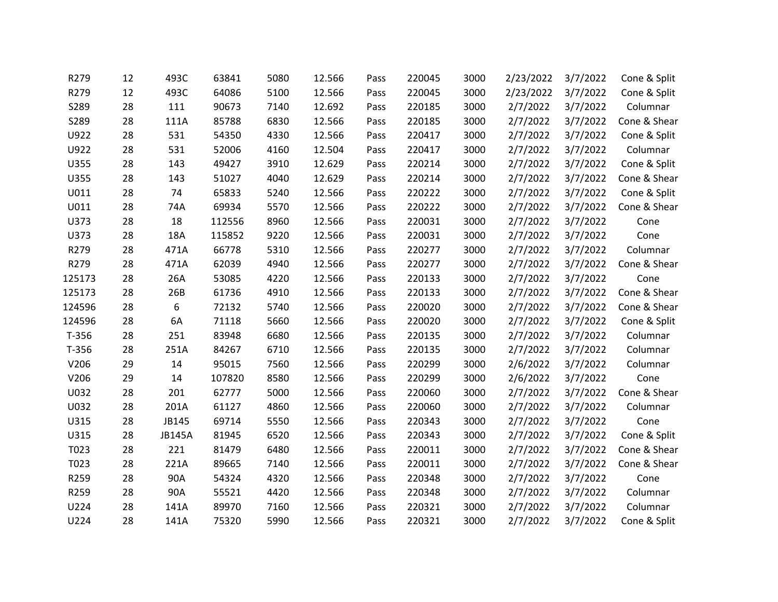| R279    | 12 | 493C          | 63841  | 5080 | 12.566 | Pass | 220045 | 3000 | 2/23/2022 | 3/7/2022 | Cone & Split |
|---------|----|---------------|--------|------|--------|------|--------|------|-----------|----------|--------------|
| R279    | 12 | 493C          | 64086  | 5100 | 12.566 | Pass | 220045 | 3000 | 2/23/2022 | 3/7/2022 | Cone & Split |
| S289    | 28 | 111           | 90673  | 7140 | 12.692 | Pass | 220185 | 3000 | 2/7/2022  | 3/7/2022 | Columnar     |
| S289    | 28 | 111A          | 85788  | 6830 | 12.566 | Pass | 220185 | 3000 | 2/7/2022  | 3/7/2022 | Cone & Shear |
| U922    | 28 | 531           | 54350  | 4330 | 12.566 | Pass | 220417 | 3000 | 2/7/2022  | 3/7/2022 | Cone & Split |
| U922    | 28 | 531           | 52006  | 4160 | 12.504 | Pass | 220417 | 3000 | 2/7/2022  | 3/7/2022 | Columnar     |
| U355    | 28 | 143           | 49427  | 3910 | 12.629 | Pass | 220214 | 3000 | 2/7/2022  | 3/7/2022 | Cone & Split |
| U355    | 28 | 143           | 51027  | 4040 | 12.629 | Pass | 220214 | 3000 | 2/7/2022  | 3/7/2022 | Cone & Shear |
| U011    | 28 | 74            | 65833  | 5240 | 12.566 | Pass | 220222 | 3000 | 2/7/2022  | 3/7/2022 | Cone & Split |
| U011    | 28 | 74A           | 69934  | 5570 | 12.566 | Pass | 220222 | 3000 | 2/7/2022  | 3/7/2022 | Cone & Shear |
| U373    | 28 | 18            | 112556 | 8960 | 12.566 | Pass | 220031 | 3000 | 2/7/2022  | 3/7/2022 | Cone         |
| U373    | 28 | 18A           | 115852 | 9220 | 12.566 | Pass | 220031 | 3000 | 2/7/2022  | 3/7/2022 | Cone         |
| R279    | 28 | 471A          | 66778  | 5310 | 12.566 | Pass | 220277 | 3000 | 2/7/2022  | 3/7/2022 | Columnar     |
| R279    | 28 | 471A          | 62039  | 4940 | 12.566 | Pass | 220277 | 3000 | 2/7/2022  | 3/7/2022 | Cone & Shear |
| 125173  | 28 | 26A           | 53085  | 4220 | 12.566 | Pass | 220133 | 3000 | 2/7/2022  | 3/7/2022 | Cone         |
| 125173  | 28 | 26B           | 61736  | 4910 | 12.566 | Pass | 220133 | 3000 | 2/7/2022  | 3/7/2022 | Cone & Shear |
| 124596  | 28 | 6             | 72132  | 5740 | 12.566 | Pass | 220020 | 3000 | 2/7/2022  | 3/7/2022 | Cone & Shear |
| 124596  | 28 | 6A            | 71118  | 5660 | 12.566 | Pass | 220020 | 3000 | 2/7/2022  | 3/7/2022 | Cone & Split |
| $T-356$ | 28 | 251           | 83948  | 6680 | 12.566 | Pass | 220135 | 3000 | 2/7/2022  | 3/7/2022 | Columnar     |
| $T-356$ | 28 | 251A          | 84267  | 6710 | 12.566 | Pass | 220135 | 3000 | 2/7/2022  | 3/7/2022 | Columnar     |
| V206    | 29 | 14            | 95015  | 7560 | 12.566 | Pass | 220299 | 3000 | 2/6/2022  | 3/7/2022 | Columnar     |
| V206    | 29 | 14            | 107820 | 8580 | 12.566 | Pass | 220299 | 3000 | 2/6/2022  | 3/7/2022 | Cone         |
| U032    | 28 | 201           | 62777  | 5000 | 12.566 | Pass | 220060 | 3000 | 2/7/2022  | 3/7/2022 | Cone & Shear |
| U032    | 28 | 201A          | 61127  | 4860 | 12.566 | Pass | 220060 | 3000 | 2/7/2022  | 3/7/2022 | Columnar     |
| U315    | 28 | JB145         | 69714  | 5550 | 12.566 | Pass | 220343 | 3000 | 2/7/2022  | 3/7/2022 | Cone         |
| U315    | 28 | <b>JB145A</b> | 81945  | 6520 | 12.566 | Pass | 220343 | 3000 | 2/7/2022  | 3/7/2022 | Cone & Split |
| T023    | 28 | 221           | 81479  | 6480 | 12.566 | Pass | 220011 | 3000 | 2/7/2022  | 3/7/2022 | Cone & Shear |
| T023    | 28 | 221A          | 89665  | 7140 | 12.566 | Pass | 220011 | 3000 | 2/7/2022  | 3/7/2022 | Cone & Shear |
| R259    | 28 | 90A           | 54324  | 4320 | 12.566 | Pass | 220348 | 3000 | 2/7/2022  | 3/7/2022 | Cone         |
| R259    | 28 | 90A           | 55521  | 4420 | 12.566 | Pass | 220348 | 3000 | 2/7/2022  | 3/7/2022 | Columnar     |
| U224    | 28 | 141A          | 89970  | 7160 | 12.566 | Pass | 220321 | 3000 | 2/7/2022  | 3/7/2022 | Columnar     |
| U224    | 28 | 141A          | 75320  | 5990 | 12.566 | Pass | 220321 | 3000 | 2/7/2022  | 3/7/2022 | Cone & Split |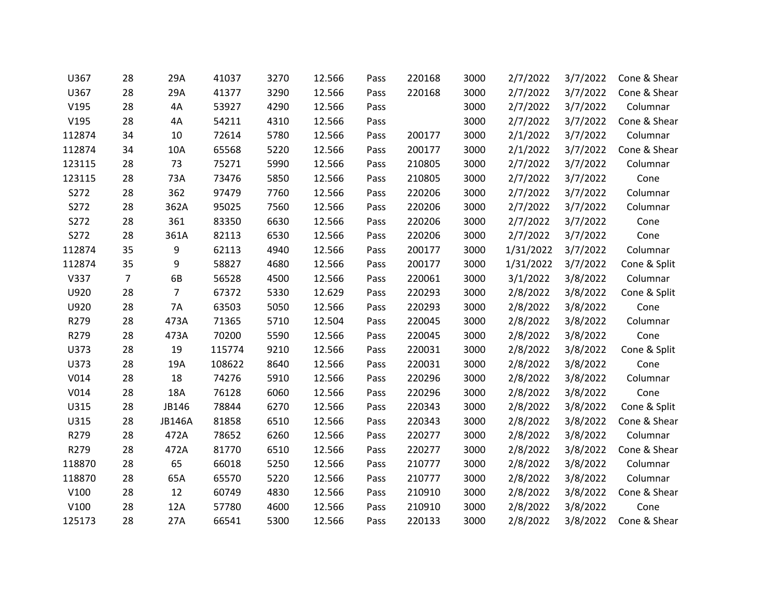| U367   | 28 | 29A           | 41037  | 3270 | 12.566 | Pass | 220168 | 3000 | 2/7/2022  | 3/7/2022 | Cone & Shear |
|--------|----|---------------|--------|------|--------|------|--------|------|-----------|----------|--------------|
| U367   | 28 | 29A           | 41377  | 3290 | 12.566 | Pass | 220168 | 3000 | 2/7/2022  | 3/7/2022 | Cone & Shear |
| V195   | 28 | 4A            | 53927  | 4290 | 12.566 | Pass |        | 3000 | 2/7/2022  | 3/7/2022 | Columnar     |
| V195   | 28 | 4A            | 54211  | 4310 | 12.566 | Pass |        | 3000 | 2/7/2022  | 3/7/2022 | Cone & Shear |
| 112874 | 34 | 10            | 72614  | 5780 | 12.566 | Pass | 200177 | 3000 | 2/1/2022  | 3/7/2022 | Columnar     |
| 112874 | 34 | 10A           | 65568  | 5220 | 12.566 | Pass | 200177 | 3000 | 2/1/2022  | 3/7/2022 | Cone & Shear |
| 123115 | 28 | 73            | 75271  | 5990 | 12.566 | Pass | 210805 | 3000 | 2/7/2022  | 3/7/2022 | Columnar     |
| 123115 | 28 | 73A           | 73476  | 5850 | 12.566 | Pass | 210805 | 3000 | 2/7/2022  | 3/7/2022 | Cone         |
| S272   | 28 | 362           | 97479  | 7760 | 12.566 | Pass | 220206 | 3000 | 2/7/2022  | 3/7/2022 | Columnar     |
| S272   | 28 | 362A          | 95025  | 7560 | 12.566 | Pass | 220206 | 3000 | 2/7/2022  | 3/7/2022 | Columnar     |
| S272   | 28 | 361           | 83350  | 6630 | 12.566 | Pass | 220206 | 3000 | 2/7/2022  | 3/7/2022 | Cone         |
| S272   | 28 | 361A          | 82113  | 6530 | 12.566 | Pass | 220206 | 3000 | 2/7/2022  | 3/7/2022 | Cone         |
| 112874 | 35 | 9             | 62113  | 4940 | 12.566 | Pass | 200177 | 3000 | 1/31/2022 | 3/7/2022 | Columnar     |
| 112874 | 35 | 9             | 58827  | 4680 | 12.566 | Pass | 200177 | 3000 | 1/31/2022 | 3/7/2022 | Cone & Split |
| V337   | 7  | 6B            | 56528  | 4500 | 12.566 | Pass | 220061 | 3000 | 3/1/2022  | 3/8/2022 | Columnar     |
| U920   | 28 | 7             | 67372  | 5330 | 12.629 | Pass | 220293 | 3000 | 2/8/2022  | 3/8/2022 | Cone & Split |
| U920   | 28 | 7A            | 63503  | 5050 | 12.566 | Pass | 220293 | 3000 | 2/8/2022  | 3/8/2022 | Cone         |
| R279   | 28 | 473A          | 71365  | 5710 | 12.504 | Pass | 220045 | 3000 | 2/8/2022  | 3/8/2022 | Columnar     |
| R279   | 28 | 473A          | 70200  | 5590 | 12.566 | Pass | 220045 | 3000 | 2/8/2022  | 3/8/2022 | Cone         |
| U373   | 28 | 19            | 115774 | 9210 | 12.566 | Pass | 220031 | 3000 | 2/8/2022  | 3/8/2022 | Cone & Split |
| U373   | 28 | 19A           | 108622 | 8640 | 12.566 | Pass | 220031 | 3000 | 2/8/2022  | 3/8/2022 | Cone         |
| V014   | 28 | 18            | 74276  | 5910 | 12.566 | Pass | 220296 | 3000 | 2/8/2022  | 3/8/2022 | Columnar     |
| V014   | 28 | 18A           | 76128  | 6060 | 12.566 | Pass | 220296 | 3000 | 2/8/2022  | 3/8/2022 | Cone         |
| U315   | 28 | JB146         | 78844  | 6270 | 12.566 | Pass | 220343 | 3000 | 2/8/2022  | 3/8/2022 | Cone & Split |
| U315   | 28 | <b>JB146A</b> | 81858  | 6510 | 12.566 | Pass | 220343 | 3000 | 2/8/2022  | 3/8/2022 | Cone & Shear |
| R279   | 28 | 472A          | 78652  | 6260 | 12.566 | Pass | 220277 | 3000 | 2/8/2022  | 3/8/2022 | Columnar     |
| R279   | 28 | 472A          | 81770  | 6510 | 12.566 | Pass | 220277 | 3000 | 2/8/2022  | 3/8/2022 | Cone & Shear |
| 118870 | 28 | 65            | 66018  | 5250 | 12.566 | Pass | 210777 | 3000 | 2/8/2022  | 3/8/2022 | Columnar     |
| 118870 | 28 | 65A           | 65570  | 5220 | 12.566 | Pass | 210777 | 3000 | 2/8/2022  | 3/8/2022 | Columnar     |
| V100   | 28 | 12            | 60749  | 4830 | 12.566 | Pass | 210910 | 3000 | 2/8/2022  | 3/8/2022 | Cone & Shear |
| V100   | 28 | 12A           | 57780  | 4600 | 12.566 | Pass | 210910 | 3000 | 2/8/2022  | 3/8/2022 | Cone         |
| 125173 | 28 | 27A           | 66541  | 5300 | 12.566 | Pass | 220133 | 3000 | 2/8/2022  | 3/8/2022 | Cone & Shear |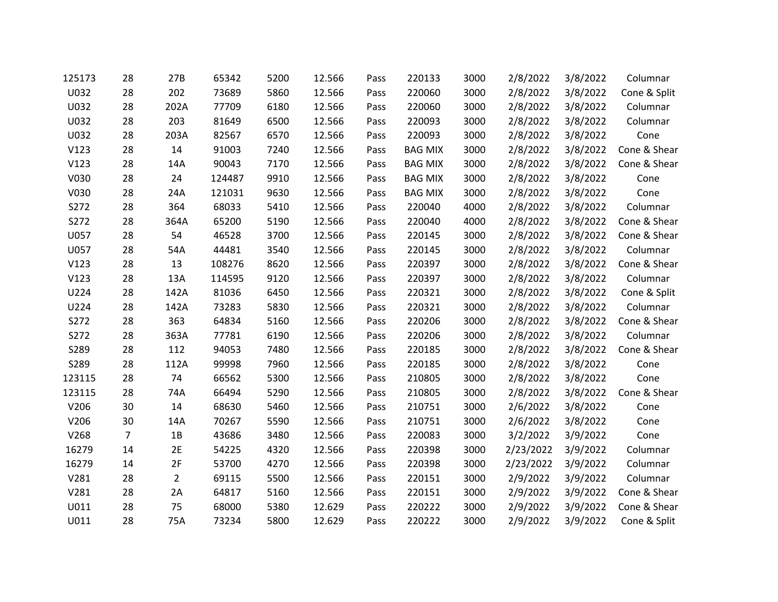| 125173 | 28             | 27B            | 65342  | 5200 | 12.566 | Pass | 220133         | 3000 | 2/8/2022  | 3/8/2022 | Columnar     |
|--------|----------------|----------------|--------|------|--------|------|----------------|------|-----------|----------|--------------|
| U032   | 28             | 202            | 73689  | 5860 | 12.566 | Pass | 220060         | 3000 | 2/8/2022  | 3/8/2022 | Cone & Split |
| U032   | 28             | 202A           | 77709  | 6180 | 12.566 | Pass | 220060         | 3000 | 2/8/2022  | 3/8/2022 | Columnar     |
| U032   | 28             | 203            | 81649  | 6500 | 12.566 | Pass | 220093         | 3000 | 2/8/2022  | 3/8/2022 | Columnar     |
| U032   | 28             | 203A           | 82567  | 6570 | 12.566 | Pass | 220093         | 3000 | 2/8/2022  | 3/8/2022 | Cone         |
| V123   | 28             | 14             | 91003  | 7240 | 12.566 | Pass | <b>BAG MIX</b> | 3000 | 2/8/2022  | 3/8/2022 | Cone & Shear |
| V123   | 28             | 14A            | 90043  | 7170 | 12.566 | Pass | <b>BAG MIX</b> | 3000 | 2/8/2022  | 3/8/2022 | Cone & Shear |
| V030   | 28             | 24             | 124487 | 9910 | 12.566 | Pass | <b>BAG MIX</b> | 3000 | 2/8/2022  | 3/8/2022 | Cone         |
| V030   | 28             | 24A            | 121031 | 9630 | 12.566 | Pass | <b>BAG MIX</b> | 3000 | 2/8/2022  | 3/8/2022 | Cone         |
| S272   | 28             | 364            | 68033  | 5410 | 12.566 | Pass | 220040         | 4000 | 2/8/2022  | 3/8/2022 | Columnar     |
| S272   | 28             | 364A           | 65200  | 5190 | 12.566 | Pass | 220040         | 4000 | 2/8/2022  | 3/8/2022 | Cone & Shear |
| U057   | 28             | 54             | 46528  | 3700 | 12.566 | Pass | 220145         | 3000 | 2/8/2022  | 3/8/2022 | Cone & Shear |
| U057   | 28             | 54A            | 44481  | 3540 | 12.566 | Pass | 220145         | 3000 | 2/8/2022  | 3/8/2022 | Columnar     |
| V123   | 28             | 13             | 108276 | 8620 | 12.566 | Pass | 220397         | 3000 | 2/8/2022  | 3/8/2022 | Cone & Shear |
| V123   | 28             | 13A            | 114595 | 9120 | 12.566 | Pass | 220397         | 3000 | 2/8/2022  | 3/8/2022 | Columnar     |
| U224   | 28             | 142A           | 81036  | 6450 | 12.566 | Pass | 220321         | 3000 | 2/8/2022  | 3/8/2022 | Cone & Split |
| U224   | 28             | 142A           | 73283  | 5830 | 12.566 | Pass | 220321         | 3000 | 2/8/2022  | 3/8/2022 | Columnar     |
| S272   | 28             | 363            | 64834  | 5160 | 12.566 | Pass | 220206         | 3000 | 2/8/2022  | 3/8/2022 | Cone & Shear |
| S272   | 28             | 363A           | 77781  | 6190 | 12.566 | Pass | 220206         | 3000 | 2/8/2022  | 3/8/2022 | Columnar     |
| S289   | 28             | 112            | 94053  | 7480 | 12.566 | Pass | 220185         | 3000 | 2/8/2022  | 3/8/2022 | Cone & Shear |
| S289   | 28             | 112A           | 99998  | 7960 | 12.566 | Pass | 220185         | 3000 | 2/8/2022  | 3/8/2022 | Cone         |
| 123115 | 28             | 74             | 66562  | 5300 | 12.566 | Pass | 210805         | 3000 | 2/8/2022  | 3/8/2022 | Cone         |
| 123115 | 28             | 74A            | 66494  | 5290 | 12.566 | Pass | 210805         | 3000 | 2/8/2022  | 3/8/2022 | Cone & Shear |
| V206   | 30             | 14             | 68630  | 5460 | 12.566 | Pass | 210751         | 3000 | 2/6/2022  | 3/8/2022 | Cone         |
| V206   | 30             | 14A            | 70267  | 5590 | 12.566 | Pass | 210751         | 3000 | 2/6/2022  | 3/8/2022 | Cone         |
| V268   | $\overline{7}$ | 1B             | 43686  | 3480 | 12.566 | Pass | 220083         | 3000 | 3/2/2022  | 3/9/2022 | Cone         |
| 16279  | 14             | 2E             | 54225  | 4320 | 12.566 | Pass | 220398         | 3000 | 2/23/2022 | 3/9/2022 | Columnar     |
| 16279  | 14             | 2F             | 53700  | 4270 | 12.566 | Pass | 220398         | 3000 | 2/23/2022 | 3/9/2022 | Columnar     |
| V281   | 28             | $\overline{2}$ | 69115  | 5500 | 12.566 | Pass | 220151         | 3000 | 2/9/2022  | 3/9/2022 | Columnar     |
| V281   | 28             | 2A             | 64817  | 5160 | 12.566 | Pass | 220151         | 3000 | 2/9/2022  | 3/9/2022 | Cone & Shear |
| U011   | 28             | 75             | 68000  | 5380 | 12.629 | Pass | 220222         | 3000 | 2/9/2022  | 3/9/2022 | Cone & Shear |
| U011   | 28             | 75A            | 73234  | 5800 | 12.629 | Pass | 220222         | 3000 | 2/9/2022  | 3/9/2022 | Cone & Split |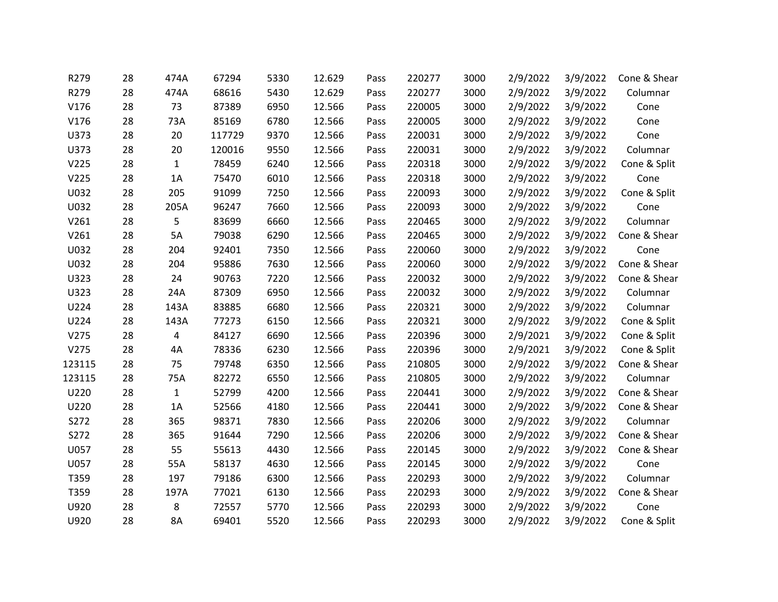| R279   | 28 | 474A         | 67294  | 5330 | 12.629 | Pass | 220277 | 3000 | 2/9/2022 | 3/9/2022 | Cone & Shear |
|--------|----|--------------|--------|------|--------|------|--------|------|----------|----------|--------------|
| R279   | 28 | 474A         | 68616  | 5430 | 12.629 | Pass | 220277 | 3000 | 2/9/2022 | 3/9/2022 | Columnar     |
| V176   | 28 | 73           | 87389  | 6950 | 12.566 | Pass | 220005 | 3000 | 2/9/2022 | 3/9/2022 | Cone         |
| V176   | 28 | 73A          | 85169  | 6780 | 12.566 | Pass | 220005 | 3000 | 2/9/2022 | 3/9/2022 | Cone         |
| U373   | 28 | 20           | 117729 | 9370 | 12.566 | Pass | 220031 | 3000 | 2/9/2022 | 3/9/2022 | Cone         |
| U373   | 28 | 20           | 120016 | 9550 | 12.566 | Pass | 220031 | 3000 | 2/9/2022 | 3/9/2022 | Columnar     |
| V225   | 28 | $\mathbf{1}$ | 78459  | 6240 | 12.566 | Pass | 220318 | 3000 | 2/9/2022 | 3/9/2022 | Cone & Split |
| V225   | 28 | 1A           | 75470  | 6010 | 12.566 | Pass | 220318 | 3000 | 2/9/2022 | 3/9/2022 | Cone         |
| U032   | 28 | 205          | 91099  | 7250 | 12.566 | Pass | 220093 | 3000 | 2/9/2022 | 3/9/2022 | Cone & Split |
| U032   | 28 | 205A         | 96247  | 7660 | 12.566 | Pass | 220093 | 3000 | 2/9/2022 | 3/9/2022 | Cone         |
| V261   | 28 | 5            | 83699  | 6660 | 12.566 | Pass | 220465 | 3000 | 2/9/2022 | 3/9/2022 | Columnar     |
| V261   | 28 | 5A           | 79038  | 6290 | 12.566 | Pass | 220465 | 3000 | 2/9/2022 | 3/9/2022 | Cone & Shear |
| U032   | 28 | 204          | 92401  | 7350 | 12.566 | Pass | 220060 | 3000 | 2/9/2022 | 3/9/2022 | Cone         |
| U032   | 28 | 204          | 95886  | 7630 | 12.566 | Pass | 220060 | 3000 | 2/9/2022 | 3/9/2022 | Cone & Shear |
| U323   | 28 | 24           | 90763  | 7220 | 12.566 | Pass | 220032 | 3000 | 2/9/2022 | 3/9/2022 | Cone & Shear |
| U323   | 28 | 24A          | 87309  | 6950 | 12.566 | Pass | 220032 | 3000 | 2/9/2022 | 3/9/2022 | Columnar     |
| U224   | 28 | 143A         | 83885  | 6680 | 12.566 | Pass | 220321 | 3000 | 2/9/2022 | 3/9/2022 | Columnar     |
| U224   | 28 | 143A         | 77273  | 6150 | 12.566 | Pass | 220321 | 3000 | 2/9/2022 | 3/9/2022 | Cone & Split |
| V275   | 28 | 4            | 84127  | 6690 | 12.566 | Pass | 220396 | 3000 | 2/9/2021 | 3/9/2022 | Cone & Split |
| V275   | 28 | 4A           | 78336  | 6230 | 12.566 | Pass | 220396 | 3000 | 2/9/2021 | 3/9/2022 | Cone & Split |
| 123115 | 28 | 75           | 79748  | 6350 | 12.566 | Pass | 210805 | 3000 | 2/9/2022 | 3/9/2022 | Cone & Shear |
| 123115 | 28 | 75A          | 82272  | 6550 | 12.566 | Pass | 210805 | 3000 | 2/9/2022 | 3/9/2022 | Columnar     |
| U220   | 28 | $\mathbf{1}$ | 52799  | 4200 | 12.566 | Pass | 220441 | 3000 | 2/9/2022 | 3/9/2022 | Cone & Shear |
| U220   | 28 | 1A           | 52566  | 4180 | 12.566 | Pass | 220441 | 3000 | 2/9/2022 | 3/9/2022 | Cone & Shear |
| S272   | 28 | 365          | 98371  | 7830 | 12.566 | Pass | 220206 | 3000 | 2/9/2022 | 3/9/2022 | Columnar     |
| S272   | 28 | 365          | 91644  | 7290 | 12.566 | Pass | 220206 | 3000 | 2/9/2022 | 3/9/2022 | Cone & Shear |
| U057   | 28 | 55           | 55613  | 4430 | 12.566 | Pass | 220145 | 3000 | 2/9/2022 | 3/9/2022 | Cone & Shear |
| U057   | 28 | 55A          | 58137  | 4630 | 12.566 | Pass | 220145 | 3000 | 2/9/2022 | 3/9/2022 | Cone         |
| T359   | 28 | 197          | 79186  | 6300 | 12.566 | Pass | 220293 | 3000 | 2/9/2022 | 3/9/2022 | Columnar     |
| T359   | 28 | 197A         | 77021  | 6130 | 12.566 | Pass | 220293 | 3000 | 2/9/2022 | 3/9/2022 | Cone & Shear |
| U920   | 28 | 8            | 72557  | 5770 | 12.566 | Pass | 220293 | 3000 | 2/9/2022 | 3/9/2022 | Cone         |
| U920   | 28 | <b>8A</b>    | 69401  | 5520 | 12.566 | Pass | 220293 | 3000 | 2/9/2022 | 3/9/2022 | Cone & Split |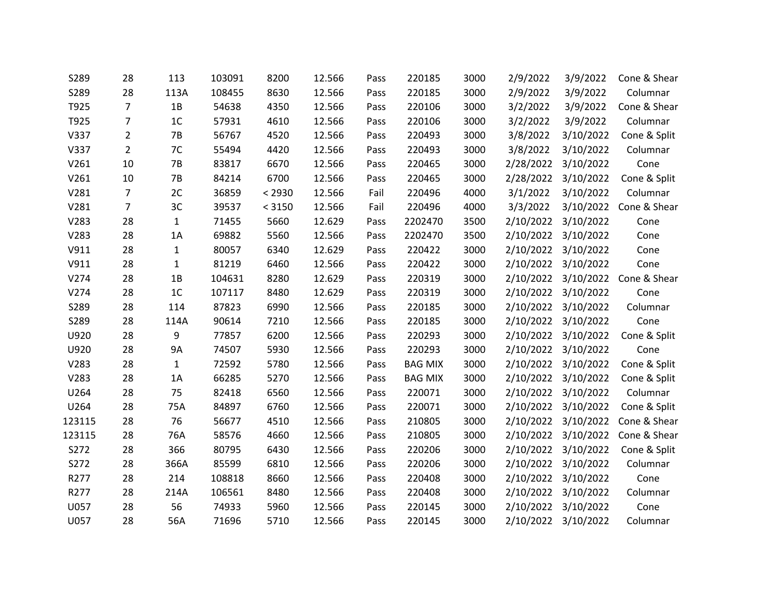| S289   | 28             | 113          | 103091 | 8200   | 12.566 | Pass | 220185         | 3000 | 2/9/2022  | 3/9/2022            | Cone & Shear |
|--------|----------------|--------------|--------|--------|--------|------|----------------|------|-----------|---------------------|--------------|
| S289   | 28             | 113A         | 108455 | 8630   | 12.566 | Pass | 220185         | 3000 | 2/9/2022  | 3/9/2022            | Columnar     |
| T925   | $\overline{7}$ | 1B           | 54638  | 4350   | 12.566 | Pass | 220106         | 3000 | 3/2/2022  | 3/9/2022            | Cone & Shear |
| T925   | $\overline{7}$ | 1C           | 57931  | 4610   | 12.566 | Pass | 220106         | 3000 | 3/2/2022  | 3/9/2022            | Columnar     |
| V337   | $\overline{2}$ | $7B$         | 56767  | 4520   | 12.566 | Pass | 220493         | 3000 | 3/8/2022  | 3/10/2022           | Cone & Split |
| V337   | $\overline{2}$ | 7C           | 55494  | 4420   | 12.566 | Pass | 220493         | 3000 | 3/8/2022  | 3/10/2022           | Columnar     |
| V261   | 10             | 7B           | 83817  | 6670   | 12.566 | Pass | 220465         | 3000 | 2/28/2022 | 3/10/2022           | Cone         |
| V261   | 10             | $7B$         | 84214  | 6700   | 12.566 | Pass | 220465         | 3000 | 2/28/2022 | 3/10/2022           | Cone & Split |
| V281   | $\overline{7}$ | 2C           | 36859  | < 2930 | 12.566 | Fail | 220496         | 4000 | 3/1/2022  | 3/10/2022           | Columnar     |
| V281   | 7              | 3C           | 39537  | < 3150 | 12.566 | Fail | 220496         | 4000 | 3/3/2022  | 3/10/2022           | Cone & Shear |
| V283   | 28             | $\mathbf{1}$ | 71455  | 5660   | 12.629 | Pass | 2202470        | 3500 | 2/10/2022 | 3/10/2022           | Cone         |
| V283   | 28             | 1A           | 69882  | 5560   | 12.566 | Pass | 2202470        | 3500 |           | 2/10/2022 3/10/2022 | Cone         |
| V911   | 28             | $\mathbf{1}$ | 80057  | 6340   | 12.629 | Pass | 220422         | 3000 | 2/10/2022 | 3/10/2022           | Cone         |
| V911   | 28             | $\mathbf{1}$ | 81219  | 6460   | 12.566 | Pass | 220422         | 3000 |           | 2/10/2022 3/10/2022 | Cone         |
| V274   | 28             | 1B           | 104631 | 8280   | 12.629 | Pass | 220319         | 3000 |           | 2/10/2022 3/10/2022 | Cone & Shear |
| V274   | 28             | 1C           | 107117 | 8480   | 12.629 | Pass | 220319         | 3000 | 2/10/2022 | 3/10/2022           | Cone         |
| S289   | 28             | 114          | 87823  | 6990   | 12.566 | Pass | 220185         | 3000 |           | 2/10/2022 3/10/2022 | Columnar     |
| S289   | 28             | 114A         | 90614  | 7210   | 12.566 | Pass | 220185         | 3000 |           | 2/10/2022 3/10/2022 | Cone         |
| U920   | 28             | 9            | 77857  | 6200   | 12.566 | Pass | 220293         | 3000 | 2/10/2022 | 3/10/2022           | Cone & Split |
| U920   | 28             | 9A           | 74507  | 5930   | 12.566 | Pass | 220293         | 3000 |           | 2/10/2022 3/10/2022 | Cone         |
| V283   | 28             | $\mathbf{1}$ | 72592  | 5780   | 12.566 | Pass | <b>BAG MIX</b> | 3000 |           | 2/10/2022 3/10/2022 | Cone & Split |
| V283   | 28             | 1A           | 66285  | 5270   | 12.566 | Pass | <b>BAG MIX</b> | 3000 | 2/10/2022 | 3/10/2022           | Cone & Split |
| U264   | 28             | 75           | 82418  | 6560   | 12.566 | Pass | 220071         | 3000 |           | 2/10/2022 3/10/2022 | Columnar     |
| U264   | 28             | 75A          | 84897  | 6760   | 12.566 | Pass | 220071         | 3000 |           | 2/10/2022 3/10/2022 | Cone & Split |
| 123115 | 28             | 76           | 56677  | 4510   | 12.566 | Pass | 210805         | 3000 | 2/10/2022 | 3/10/2022           | Cone & Shear |
| 123115 | 28             | 76A          | 58576  | 4660   | 12.566 | Pass | 210805         | 3000 |           | 2/10/2022 3/10/2022 | Cone & Shear |
| S272   | 28             | 366          | 80795  | 6430   | 12.566 | Pass | 220206         | 3000 | 2/10/2022 | 3/10/2022           | Cone & Split |
| S272   | 28             | 366A         | 85599  | 6810   | 12.566 | Pass | 220206         | 3000 | 2/10/2022 | 3/10/2022           | Columnar     |
| R277   | 28             | 214          | 108818 | 8660   | 12.566 | Pass | 220408         | 3000 |           | 2/10/2022 3/10/2022 | Cone         |
| R277   | 28             | 214A         | 106561 | 8480   | 12.566 | Pass | 220408         | 3000 | 2/10/2022 | 3/10/2022           | Columnar     |
| U057   | 28             | 56           | 74933  | 5960   | 12.566 | Pass | 220145         | 3000 | 2/10/2022 | 3/10/2022           | Cone         |
| U057   | 28             | 56A          | 71696  | 5710   | 12.566 | Pass | 220145         | 3000 |           | 2/10/2022 3/10/2022 | Columnar     |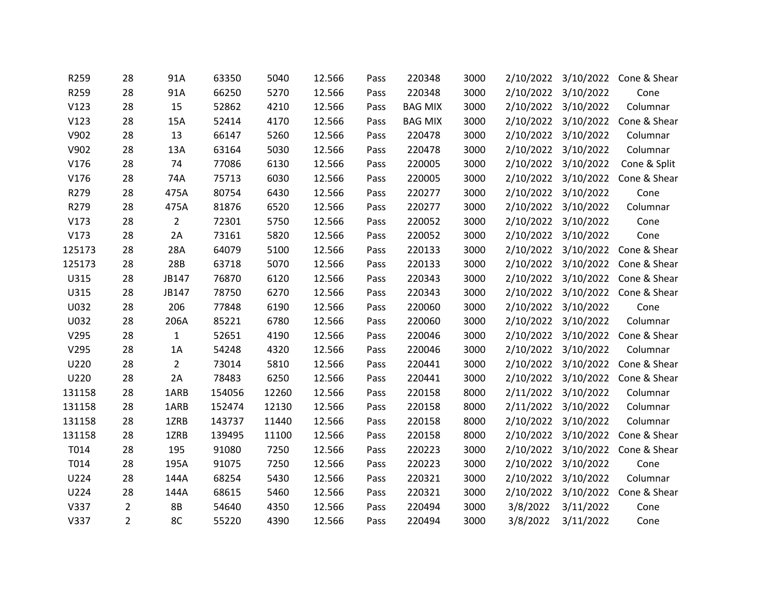| R259   | 28             | 91A            | 63350  | 5040  | 12.566 | Pass | 220348         | 3000 |           | 2/10/2022 3/10/2022 | Cone & Shear                     |
|--------|----------------|----------------|--------|-------|--------|------|----------------|------|-----------|---------------------|----------------------------------|
| R259   | 28             | 91A            | 66250  | 5270  | 12.566 | Pass | 220348         | 3000 | 2/10/2022 | 3/10/2022           | Cone                             |
| V123   | 28             | 15             | 52862  | 4210  | 12.566 | Pass | <b>BAG MIX</b> | 3000 |           | 2/10/2022 3/10/2022 | Columnar                         |
| V123   | 28             | 15A            | 52414  | 4170  | 12.566 | Pass | <b>BAG MIX</b> | 3000 |           | 2/10/2022 3/10/2022 | Cone & Shear                     |
| V902   | 28             | 13             | 66147  | 5260  | 12.566 | Pass | 220478         | 3000 |           | 2/10/2022 3/10/2022 | Columnar                         |
| V902   | 28             | 13A            | 63164  | 5030  | 12.566 | Pass | 220478         | 3000 |           | 2/10/2022 3/10/2022 | Columnar                         |
| V176   | 28             | 74             | 77086  | 6130  | 12.566 | Pass | 220005         | 3000 |           | 2/10/2022 3/10/2022 | Cone & Split                     |
| V176   | 28             | 74A            | 75713  | 6030  | 12.566 | Pass | 220005         | 3000 |           |                     | 2/10/2022 3/10/2022 Cone & Shear |
| R279   | 28             | 475A           | 80754  | 6430  | 12.566 | Pass | 220277         | 3000 |           | 2/10/2022 3/10/2022 | Cone                             |
| R279   | 28             | 475A           | 81876  | 6520  | 12.566 | Pass | 220277         | 3000 |           | 2/10/2022 3/10/2022 | Columnar                         |
| V173   | 28             | $\overline{2}$ | 72301  | 5750  | 12.566 | Pass | 220052         | 3000 |           | 2/10/2022 3/10/2022 | Cone                             |
| V173   | 28             | 2A             | 73161  | 5820  | 12.566 | Pass | 220052         | 3000 |           | 2/10/2022 3/10/2022 | Cone                             |
| 125173 | 28             | 28A            | 64079  | 5100  | 12.566 | Pass | 220133         | 3000 |           | 2/10/2022 3/10/2022 | Cone & Shear                     |
| 125173 | 28             | 28B            | 63718  | 5070  | 12.566 | Pass | 220133         | 3000 |           | 2/10/2022 3/10/2022 | Cone & Shear                     |
| U315   | 28             | JB147          | 76870  | 6120  | 12.566 | Pass | 220343         | 3000 |           | 2/10/2022 3/10/2022 | Cone & Shear                     |
| U315   | 28             | JB147          | 78750  | 6270  | 12.566 | Pass | 220343         | 3000 | 2/10/2022 | 3/10/2022           | Cone & Shear                     |
| U032   | 28             | 206            | 77848  | 6190  | 12.566 | Pass | 220060         | 3000 |           | 2/10/2022 3/10/2022 | Cone                             |
| U032   | 28             | 206A           | 85221  | 6780  | 12.566 | Pass | 220060         | 3000 |           | 2/10/2022 3/10/2022 | Columnar                         |
| V295   | 28             | $\mathbf{1}$   | 52651  | 4190  | 12.566 | Pass | 220046         | 3000 |           | 2/10/2022 3/10/2022 | Cone & Shear                     |
| V295   | 28             | 1A             | 54248  | 4320  | 12.566 | Pass | 220046         | 3000 |           | 2/10/2022 3/10/2022 | Columnar                         |
| U220   | 28             | $\overline{2}$ | 73014  | 5810  | 12.566 | Pass | 220441         | 3000 |           | 2/10/2022 3/10/2022 | Cone & Shear                     |
| U220   | 28             | 2A             | 78483  | 6250  | 12.566 | Pass | 220441         | 3000 |           | 2/10/2022 3/10/2022 | Cone & Shear                     |
| 131158 | 28             | 1ARB           | 154056 | 12260 | 12.566 | Pass | 220158         | 8000 |           | 2/11/2022 3/10/2022 | Columnar                         |
| 131158 | 28             | 1ARB           | 152474 | 12130 | 12.566 | Pass | 220158         | 8000 |           | 2/11/2022 3/10/2022 | Columnar                         |
| 131158 | 28             | 1ZRB           | 143737 | 11440 | 12.566 | Pass | 220158         | 8000 |           | 2/10/2022 3/10/2022 | Columnar                         |
| 131158 | 28             | 1ZRB           | 139495 | 11100 | 12.566 | Pass | 220158         | 8000 |           | 2/10/2022 3/10/2022 | Cone & Shear                     |
| T014   | 28             | 195            | 91080  | 7250  | 12.566 | Pass | 220223         | 3000 | 2/10/2022 | 3/10/2022           | Cone & Shear                     |
| T014   | 28             | 195A           | 91075  | 7250  | 12.566 | Pass | 220223         | 3000 |           | 2/10/2022 3/10/2022 | Cone                             |
| U224   | 28             | 144A           | 68254  | 5430  | 12.566 | Pass | 220321         | 3000 |           | 2/10/2022 3/10/2022 | Columnar                         |
| U224   | 28             | 144A           | 68615  | 5460  | 12.566 | Pass | 220321         | 3000 |           | 2/10/2022 3/10/2022 | Cone & Shear                     |
| V337   | $\overline{2}$ | <b>8B</b>      | 54640  | 4350  | 12.566 | Pass | 220494         | 3000 | 3/8/2022  | 3/11/2022           | Cone                             |
| V337   | $\overline{2}$ | 8C             | 55220  | 4390  | 12.566 | Pass | 220494         | 3000 | 3/8/2022  | 3/11/2022           | Cone                             |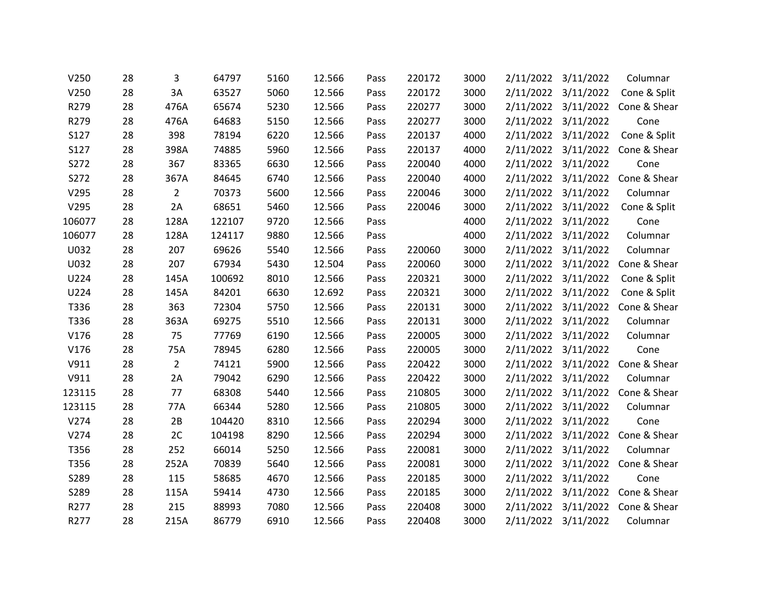| V250        | 28 | 3              | 64797  | 5160 | 12.566 | Pass | 220172 | 3000 | 2/11/2022 3/11/2022 | Columnar     |
|-------------|----|----------------|--------|------|--------|------|--------|------|---------------------|--------------|
| V250        | 28 | 3A             | 63527  | 5060 | 12.566 | Pass | 220172 | 3000 | 2/11/2022 3/11/2022 | Cone & Split |
| R279        | 28 | 476A           | 65674  | 5230 | 12.566 | Pass | 220277 | 3000 | 2/11/2022 3/11/2022 | Cone & Shear |
| R279        | 28 | 476A           | 64683  | 5150 | 12.566 | Pass | 220277 | 3000 | 2/11/2022 3/11/2022 | Cone         |
| S127        | 28 | 398            | 78194  | 6220 | 12.566 | Pass | 220137 | 4000 | 2/11/2022 3/11/2022 | Cone & Split |
| <b>S127</b> | 28 | 398A           | 74885  | 5960 | 12.566 | Pass | 220137 | 4000 | 2/11/2022 3/11/2022 | Cone & Shear |
| S272        | 28 | 367            | 83365  | 6630 | 12.566 | Pass | 220040 | 4000 | 2/11/2022 3/11/2022 | Cone         |
| S272        | 28 | 367A           | 84645  | 6740 | 12.566 | Pass | 220040 | 4000 | 2/11/2022 3/11/2022 | Cone & Shear |
| V295        | 28 | $\overline{2}$ | 70373  | 5600 | 12.566 | Pass | 220046 | 3000 | 2/11/2022 3/11/2022 | Columnar     |
| V295        | 28 | 2A             | 68651  | 5460 | 12.566 | Pass | 220046 | 3000 | 2/11/2022 3/11/2022 | Cone & Split |
| 106077      | 28 | 128A           | 122107 | 9720 | 12.566 | Pass |        | 4000 | 2/11/2022 3/11/2022 | Cone         |
| 106077      | 28 | 128A           | 124117 | 9880 | 12.566 | Pass |        | 4000 | 2/11/2022 3/11/2022 | Columnar     |
| U032        | 28 | 207            | 69626  | 5540 | 12.566 | Pass | 220060 | 3000 | 2/11/2022 3/11/2022 | Columnar     |
| U032        | 28 | 207            | 67934  | 5430 | 12.504 | Pass | 220060 | 3000 | 2/11/2022 3/11/2022 | Cone & Shear |
| U224        | 28 | 145A           | 100692 | 8010 | 12.566 | Pass | 220321 | 3000 | 2/11/2022 3/11/2022 | Cone & Split |
| U224        | 28 | 145A           | 84201  | 6630 | 12.692 | Pass | 220321 | 3000 | 2/11/2022 3/11/2022 | Cone & Split |
| T336        | 28 | 363            | 72304  | 5750 | 12.566 | Pass | 220131 | 3000 | 2/11/2022 3/11/2022 | Cone & Shear |
| T336        | 28 | 363A           | 69275  | 5510 | 12.566 | Pass | 220131 | 3000 | 2/11/2022 3/11/2022 | Columnar     |
| V176        | 28 | 75             | 77769  | 6190 | 12.566 | Pass | 220005 | 3000 | 2/11/2022 3/11/2022 | Columnar     |
| V176        | 28 | 75A            | 78945  | 6280 | 12.566 | Pass | 220005 | 3000 | 2/11/2022 3/11/2022 | Cone         |
| V911        | 28 | $\overline{2}$ | 74121  | 5900 | 12.566 | Pass | 220422 | 3000 | 2/11/2022 3/11/2022 | Cone & Shear |
| V911        | 28 | 2A             | 79042  | 6290 | 12.566 | Pass | 220422 | 3000 | 2/11/2022 3/11/2022 | Columnar     |
| 123115      | 28 | 77             | 68308  | 5440 | 12.566 | Pass | 210805 | 3000 | 2/11/2022 3/11/2022 | Cone & Shear |
| 123115      | 28 | 77A            | 66344  | 5280 | 12.566 | Pass | 210805 | 3000 | 2/11/2022 3/11/2022 | Columnar     |
| V274        | 28 | 2B             | 104420 | 8310 | 12.566 | Pass | 220294 | 3000 | 2/11/2022 3/11/2022 | Cone         |
| V274        | 28 | 2C             | 104198 | 8290 | 12.566 | Pass | 220294 | 3000 | 2/11/2022 3/11/2022 | Cone & Shear |
| T356        | 28 | 252            | 66014  | 5250 | 12.566 | Pass | 220081 | 3000 | 2/11/2022 3/11/2022 | Columnar     |
| T356        | 28 | 252A           | 70839  | 5640 | 12.566 | Pass | 220081 | 3000 | 2/11/2022 3/11/2022 | Cone & Shear |
| S289        | 28 | 115            | 58685  | 4670 | 12.566 | Pass | 220185 | 3000 | 2/11/2022 3/11/2022 | Cone         |
| S289        | 28 | 115A           | 59414  | 4730 | 12.566 | Pass | 220185 | 3000 | 2/11/2022 3/11/2022 | Cone & Shear |
| R277        | 28 | 215            | 88993  | 7080 | 12.566 | Pass | 220408 | 3000 | 2/11/2022 3/11/2022 | Cone & Shear |
| R277        | 28 | 215A           | 86779  | 6910 | 12.566 | Pass | 220408 | 3000 | 2/11/2022 3/11/2022 | Columnar     |